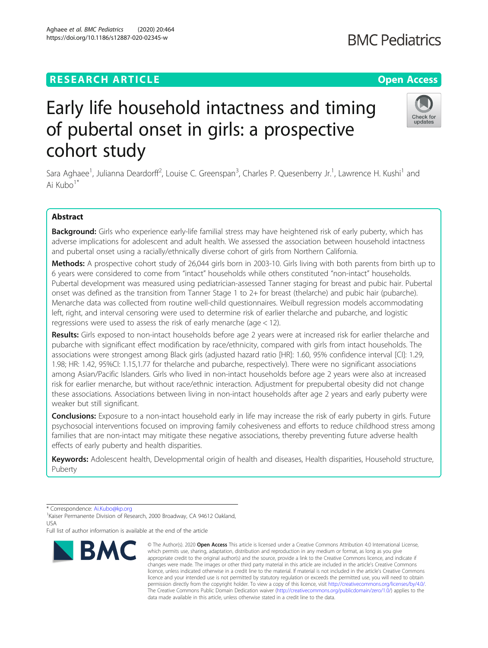## **RESEARCH ARTICLE Example 2018 12:30 The Contract of Contract Contract Open Access**

# Early life household intactness and timing of pubertal onset in girls: a prospective cohort study

Sara Aghaee<sup>1</sup>, Julianna Deardorff<sup>2</sup>, Louise C. Greenspan<sup>3</sup>, Charles P. Quesenberry Jr.<sup>1</sup>, Lawrence H. Kushi<sup>1</sup> and Ai Kubo<sup>1\*</sup>

## Abstract

Background: Girls who experience early-life familial stress may have heightened risk of early puberty, which has adverse implications for adolescent and adult health. We assessed the association between household intactness and pubertal onset using a racially/ethnically diverse cohort of girls from Northern California.

Methods: A prospective cohort study of 26,044 girls born in 2003-10. Girls living with both parents from birth up to 6 years were considered to come from "intact" households while others constituted "non-intact" households. Pubertal development was measured using pediatrician-assessed Tanner staging for breast and pubic hair. Pubertal onset was defined as the transition from Tanner Stage 1 to 2+ for breast (thelarche) and pubic hair (pubarche). Menarche data was collected from routine well-child questionnaires. Weibull regression models accommodating left, right, and interval censoring were used to determine risk of earlier thelarche and pubarche, and logistic regressions were used to assess the risk of early menarche (age < 12).

Results: Girls exposed to non-intact households before age 2 years were at increased risk for earlier thelarche and pubarche with significant effect modification by race/ethnicity, compared with girls from intact households. The associations were strongest among Black girls (adjusted hazard ratio [HR]: 1.60, 95% confidence interval [CI]: 1.29, 1.98; HR: 1.42, 95%CI: 1.15,1.77 for thelarche and pubarche, respectively). There were no significant associations among Asian/Pacific Islanders. Girls who lived in non-intact households before age 2 years were also at increased risk for earlier menarche, but without race/ethnic interaction. Adjustment for prepubertal obesity did not change these associations. Associations between living in non-intact households after age 2 years and early puberty were weaker but still significant.

**Conclusions:** Exposure to a non-intact household early in life may increase the risk of early puberty in girls. Future psychosocial interventions focused on improving family cohesiveness and efforts to reduce childhood stress among families that are non-intact may mitigate these negative associations, thereby preventing future adverse health effects of early puberty and health disparities.

Keywords: Adolescent health, Developmental origin of health and diseases, Health disparities, Household structure, Puberty



<sup>©</sup> The Author(s), 2020 **Open Access** This article is licensed under a Creative Commons Attribution 4.0 International License, which permits use, sharing, adaptation, distribution and reproduction in any medium or format, as long as you give appropriate credit to the original author(s) and the source, provide a link to the Creative Commons licence, and indicate if changes were made. The images or other third party material in this article are included in the article's Creative Commons licence, unless indicated otherwise in a credit line to the material. If material is not included in the article's Creative Commons licence and your intended use is not permitted by statutory regulation or exceeds the permitted use, you will need to obtain permission directly from the copyright holder. To view a copy of this licence, visit [http://creativecommons.org/licenses/by/4.0/.](http://creativecommons.org/licenses/by/4.0/) The Creative Commons Public Domain Dedication waiver [\(http://creativecommons.org/publicdomain/zero/1.0/](http://creativecommons.org/publicdomain/zero/1.0/)) applies to the data made available in this article, unless otherwise stated in a credit line to the data.





<sup>\*</sup> Correspondence: [Ai.Kubo@kp.org](mailto:Ai.Kubo@kp.org) <sup>1</sup>

<sup>&</sup>lt;sup>1</sup> Kaiser Permanente Division of Research, 2000 Broadway, CA 94612 Oakland, USA

Full list of author information is available at the end of the article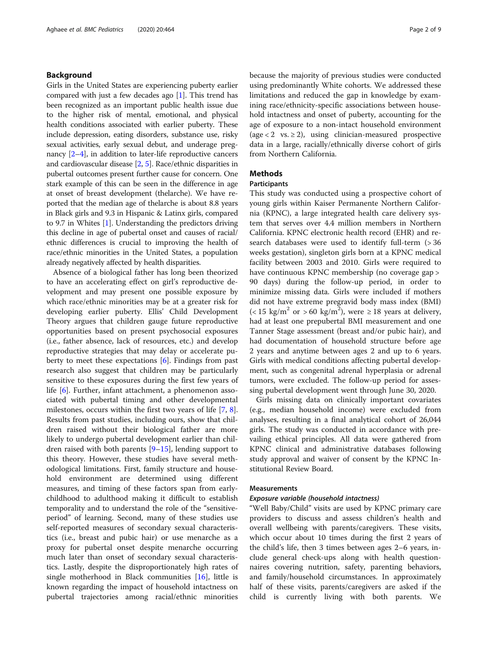## Background

Girls in the United States are experiencing puberty earlier compared with just a few decades ago  $[1]$ . This trend has been recognized as an important public health issue due to the higher risk of mental, emotional, and physical health conditions associated with earlier puberty. These include depression, eating disorders, substance use, risky sexual activities, early sexual debut, and underage pregnancy  $[2-4]$  $[2-4]$  $[2-4]$  $[2-4]$  $[2-4]$ , in addition to later-life reproductive cancers and cardiovascular disease [[2](#page-7-0), [5](#page-7-0)]. Race/ethnic disparities in pubertal outcomes present further cause for concern. One stark example of this can be seen in the difference in age at onset of breast development (thelarche). We have reported that the median age of thelarche is about 8.8 years in Black girls and 9.3 in Hispanic & Latinx girls, compared to 9.7 in Whites [\[1\]](#page-7-0). Understanding the predictors driving this decline in age of pubertal onset and causes of racial/ ethnic differences is crucial to improving the health of race/ethnic minorities in the United States, a population already negatively affected by health disparities.

Absence of a biological father has long been theorized to have an accelerating effect on girl's reproductive development and may present one possible exposure by which race/ethnic minorities may be at a greater risk for developing earlier puberty. Ellis' Child Development Theory argues that children gauge future reproductive opportunities based on present psychosocial exposures (i.e., father absence, lack of resources, etc.) and develop reproductive strategies that may delay or accelerate puberty to meet these expectations [[6](#page-7-0)]. Findings from past research also suggest that children may be particularly sensitive to these exposures during the first few years of life [[6\]](#page-7-0). Further, infant attachment, a phenomenon associated with pubertal timing and other developmental milestones, occurs within the first two years of life [\[7](#page-7-0), [8](#page-7-0)]. Results from past studies, including ours, show that children raised without their biological father are more likely to undergo pubertal development earlier than children raised with both parents [\[9](#page-7-0)–[15\]](#page-7-0), lending support to this theory. However, these studies have several methodological limitations. First, family structure and household environment are determined using different measures, and timing of these factors span from earlychildhood to adulthood making it difficult to establish temporality and to understand the role of the "sensitiveperiod" of learning. Second, many of these studies use self-reported measures of secondary sexual characteristics (i.e., breast and pubic hair) or use menarche as a proxy for pubertal onset despite menarche occurring much later than onset of secondary sexual characteristics. Lastly, despite the disproportionately high rates of single motherhood in Black communities [\[16\]](#page-7-0), little is known regarding the impact of household intactness on pubertal trajectories among racial/ethnic minorities because the majority of previous studies were conducted using predominantly White cohorts. We addressed these limitations and reduced the gap in knowledge by examining race/ethnicity-specific associations between household intactness and onset of puberty, accounting for the age of exposure to a non-intact household environment (age  $< 2$  vs.  $\geq 2$ ), using clinician-measured prospective data in a large, racially/ethnically diverse cohort of girls from Northern California.

## **Methods**

## **Participants**

This study was conducted using a prospective cohort of young girls within Kaiser Permanente Northern California (KPNC), a large integrated health care delivery system that serves over 4.4 million members in Northern California. KPNC electronic health record (EHR) and research databases were used to identify full-term (> 36 weeks gestation), singleton girls born at a KPNC medical facility between 2003 and 2010. Girls were required to have continuous KPNC membership (no coverage gap > 90 days) during the follow-up period, in order to minimize missing data. Girls were included if mothers did not have extreme pregravid body mass index (BMI)  $(< 15 \text{ kg/m}^2 \text{ or } > 60 \text{ kg/m}^2)$ , were  $\geq 18$  years at delivery, had at least one prepubertal BMI measurement and one Tanner Stage assessment (breast and/or pubic hair), and had documentation of household structure before age 2 years and anytime between ages 2 and up to 6 years. Girls with medical conditions affecting pubertal development, such as congenital adrenal hyperplasia or adrenal tumors, were excluded. The follow-up period for assessing pubertal development went through June 30, 2020.

Girls missing data on clinically important covariates (e.g., median household income) were excluded from analyses, resulting in a final analytical cohort of 26,044 girls. The study was conducted in accordance with prevailing ethical principles. All data were gathered from KPNC clinical and administrative databases following study approval and waiver of consent by the KPNC Institutional Review Board.

## Measurements

### Exposure variable (household intactness)

"Well Baby/Child" visits are used by KPNC primary care providers to discuss and assess children's health and overall wellbeing with parents/caregivers. These visits, which occur about 10 times during the first 2 years of the child's life, then 3 times between ages 2–6 years, include general check-ups along with health questionnaires covering nutrition, safety, parenting behaviors, and family/household circumstances. In approximately half of these visits, parents/caregivers are asked if the child is currently living with both parents. We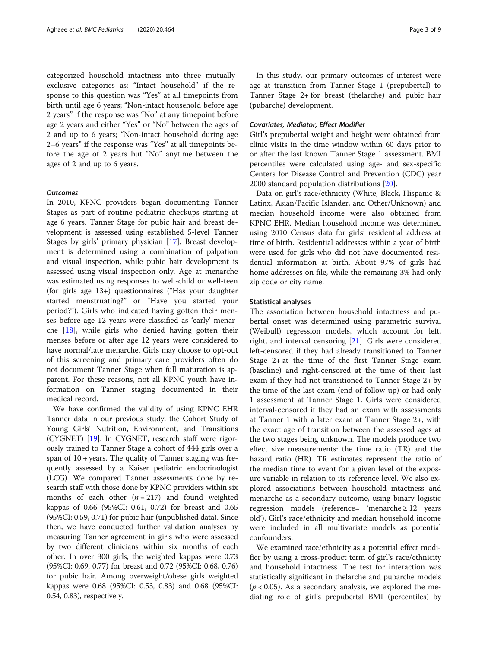categorized household intactness into three mutuallyexclusive categories as: "Intact household" if the response to this question was "Yes" at all timepoints from birth until age 6 years; "Non-intact household before age 2 years" if the response was "No" at any timepoint before age 2 years and either "Yes" or "No" between the ages of 2 and up to 6 years; "Non-intact household during age 2–6 years" if the response was "Yes" at all timepoints before the age of 2 years but "No" anytime between the ages of 2 and up to 6 years.

#### **Outcomes**

In 2010, KPNC providers began documenting Tanner Stages as part of routine pediatric checkups starting at age 6 years. Tanner Stage for pubic hair and breast development is assessed using established 5-level Tanner Stages by girls' primary physician [\[17](#page-7-0)]. Breast development is determined using a combination of palpation and visual inspection, while pubic hair development is assessed using visual inspection only. Age at menarche was estimated using responses to well-child or well-teen (for girls age 13+) questionnaires ("Has your daughter started menstruating?" or "Have you started your period?"). Girls who indicated having gotten their menses before age 12 years were classified as 'early' menarche [[18\]](#page-7-0), while girls who denied having gotten their menses before or after age 12 years were considered to have normal/late menarche. Girls may choose to opt-out of this screening and primary care providers often do not document Tanner Stage when full maturation is apparent. For these reasons, not all KPNC youth have information on Tanner staging documented in their medical record.

We have confirmed the validity of using KPNC EHR Tanner data in our previous study, the Cohort Study of Young Girls' Nutrition, Environment, and Transitions (CYGNET) [\[19\]](#page-7-0). In CYGNET, research staff were rigorously trained to Tanner Stage a cohort of 444 girls over a span of 10 + years. The quality of Tanner staging was frequently assessed by a Kaiser pediatric endocrinologist (LCG). We compared Tanner assessments done by research staff with those done by KPNC providers within six months of each other  $(n = 217)$  and found weighted kappas of 0.66 (95%CI: 0.61, 0.72) for breast and 0.65 (95%CI: 0.59, 0.71) for pubic hair (unpublished data). Since then, we have conducted further validation analyses by measuring Tanner agreement in girls who were assessed by two different clinicians within six months of each other. In over 300 girls, the weighted kappas were 0.73 (95%CI: 0.69, 0.77) for breast and 0.72 (95%CI: 0.68, 0.76) for pubic hair. Among overweight/obese girls weighted kappas were 0.68 (95%CI: 0.53, 0.83) and 0.68 (95%CI: 0.54, 0.83), respectively.

In this study, our primary outcomes of interest were age at transition from Tanner Stage 1 (prepubertal) to Tanner Stage 2+ for breast (thelarche) and pubic hair (pubarche) development.

## Covariates, Mediator, Effect Modifier

Girl's prepubertal weight and height were obtained from clinic visits in the time window within 60 days prior to or after the last known Tanner Stage 1 assessment. BMI percentiles were calculated using age- and sex-specific Centers for Disease Control and Prevention (CDC) year 2000 standard population distributions [\[20\]](#page-7-0).

Data on girl's race/ethnicity (White, Black, Hispanic & Latinx, Asian/Pacific Islander, and Other/Unknown) and median household income were also obtained from KPNC EHR. Median household income was determined using 2010 Census data for girls' residential address at time of birth. Residential addresses within a year of birth were used for girls who did not have documented residential information at birth. About 97% of girls had home addresses on file, while the remaining 3% had only zip code or city name.

#### Statistical analyses

The association between household intactness and pubertal onset was determined using parametric survival (Weibull) regression models, which account for left, right, and interval censoring [\[21](#page-7-0)]. Girls were considered left-censored if they had already transitioned to Tanner Stage 2+ at the time of the first Tanner Stage exam (baseline) and right-censored at the time of their last exam if they had not transitioned to Tanner Stage 2+ by the time of the last exam (end of follow-up) or had only 1 assessment at Tanner Stage 1. Girls were considered interval-censored if they had an exam with assessments at Tanner 1 with a later exam at Tanner Stage 2+, with the exact age of transition between the assessed ages at the two stages being unknown. The models produce two effect size measurements: the time ratio (TR) and the hazard ratio (HR). TR estimates represent the ratio of the median time to event for a given level of the exposure variable in relation to its reference level. We also explored associations between household intactness and menarche as a secondary outcome, using binary logistic regression models (reference= 'menarche ≥ 12 years old'). Girl's race/ethnicity and median household income were included in all multivariate models as potential confounders.

We examined race/ethnicity as a potential effect modifier by using a cross-product term of girl's race/ethnicity and household intactness. The test for interaction was statistically significant in thelarche and pubarche models  $(p < 0.05)$ . As a secondary analysis, we explored the mediating role of girl's prepubertal BMI (percentiles) by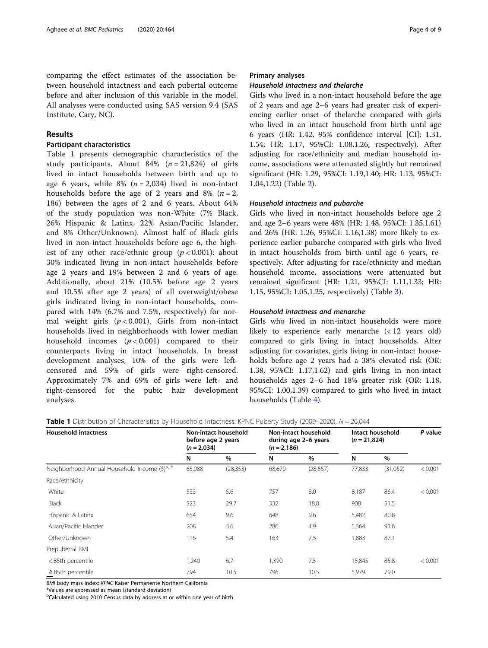comparing the effect estimates of the association between household intactness and each pubertal outcome before and after inclusion of this variable in the model. All analyses were conducted using SAS version 9.4 (SAS Institute, Cary, NC).

## Results

## Participant characteristics

Table 1 presents demographic characteristics of the study participants. About 84%  $(n = 21,824)$  of girls lived in intact households between birth and up to age 6 years, while  $8\%$  ( $n = 2,034$ ) lived in non-intact households before the age of 2 years and 8% ( $n = 2$ , 186) between the ages of 2 and 6 years. About 64% of the study population was non-White (7% Black, 26% Hispanic & Latinx, 22% Asian/Pacific Islander, and 8% Other/Unknown). Almost half of Black girls lived in non-intact households before age 6, the highest of any other race/ethnic group  $(p < 0.001)$ : about 30% indicated living in non-intact households before age 2 years and 19% between 2 and 6 years of age. Additionally, about 21% (10.5% before age 2 years and 10.5% after age 2 years) of all overweight/obese girls indicated living in non-intact households, compared with 14% (6.7% and 7.5%, respectively) for normal weight girls  $(p < 0.001)$ . Girls from non-intact households lived in neighborhoods with lower median household incomes  $(p < 0.001)$  compared to their counterparts living in intact households. In breast development analyses, 10% of the girls were leftcensored and 59% of girls were right-censored. Approximately 7% and 69% of girls were left- and right-censored for the pubic hair development analyses.

## Primary analyses

## Household intactness and thelarche

Girls who lived in a non-intact household before the age of 2 years and age 2–6 years had greater risk of experiencing earlier onset of thelarche compared with girls who lived in an intact household from birth until age 6 years (HR: 1.42, 95% confidence interval [CI]: 1.31, 1.54; HR: 1.17, 95%CI: 1.08,1.26, respectively). After adjusting for race/ethnicity and median household income, associations were attenuated slightly but remained significant (HR: 1.29, 95%CI: 1.19,1.40; HR: 1.13, 95%CI: 1.04,1.22) (Table [2\)](#page-4-0).

## Household intactness and pubarche

Girls who lived in non-intact households before age 2 and age 2–6 years were 48% (HR: 1.48, 95%CI: 1.35,1.61) and 26% (HR: 1.26, 95%CI: 1.16,1.38) more likely to experience earlier pubarche compared with girls who lived in intact households from birth until age 6 years, respectively. After adjusting for race/ethnicity and median household income, associations were attenuated but remained significant (HR: 1.21, 95%CI: 1.11,1.33; HR: 1.15, 95%CI: 1.05,1.25, respectively) (Table [3\)](#page-4-0).

## Household intactness and menarche

Girls who lived in non-intact households were more likely to experience early menarche (< 12 years old) compared to girls living in intact households. After adjusting for covariates, girls living in non-intact households before age 2 years had a 38% elevated risk (OR: 1.38, 95%CI: 1.17,1.62) and girls living in non-intact households ages 2–6 had 18% greater risk (OR: 1.18, 95%CI: 1.00,1.39) compared to girls who lived in intact households (Table [4\)](#page-5-0).

**Table 1** Distribution of Characteristics by Household Intactness: KPNC Puberty Study (2009–2020),  $N = 26,044$ 

| <b>Household intactness</b>                               | before age 2 years<br>$(n = 2,034)$ | Non-intact household | $(n = 2, 186)$ | Non-intact household<br>during age 2-6 years | Intact household<br>$(n = 21,824)$ |          | P value |
|-----------------------------------------------------------|-------------------------------------|----------------------|----------------|----------------------------------------------|------------------------------------|----------|---------|
|                                                           | N                                   | $\%$                 | N              | $\%$                                         | N                                  | %        |         |
| Neighborhood Annual Household Income (\$) <sup>a, b</sup> | 65,088                              | (28, 353)            | 68,670         | (28, 557)                                    | 77,833                             | (31,052) | < 0.001 |
| Race/ethnicity                                            |                                     |                      |                |                                              |                                    |          |         |
| White                                                     | 533                                 | 5.6                  | 757            | 8.0                                          | 8,187                              | 86.4     | < 0.001 |
| Black                                                     | 523                                 | 29.7                 | 332            | 18.8                                         | 908                                | 51.5     |         |
| Hispanic & Latinx                                         | 654                                 | 9.6                  | 648            | 9.6                                          | 5,482                              | 80.8     |         |
| Asian/Pacific Islander                                    | 208                                 | 3.6                  | 286            | 4.9                                          | 5,364                              | 91.6     |         |
| Other/Unknown                                             | 116                                 | 5.4                  | 163            | 7.5                                          | 1,883                              | 87.1     |         |
| Prepubertal BMI                                           |                                     |                      |                |                                              |                                    |          |         |
| <85th percentile                                          | 1,240                               | 6.7                  | 1,390          | 7.5                                          | 15,845                             | 85.8     | < 0.001 |
| $\geq$ 85th percentile                                    | 794                                 | 10.5                 | 796            | 10.5                                         | 5,979                              | 79.0     |         |

BMI body mass index; KPNC Kaiser Permanente Northern California

<sup>a</sup>Values are expressed as mean (standard deviation)

<sup>b</sup>Calculated using 2010 Census data by address at or within one year of birth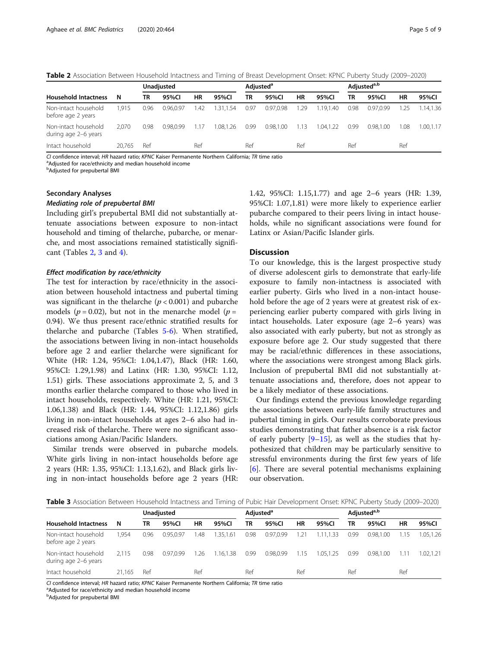<span id="page-4-0"></span>Table 2 Association Between Household Intactness and Timing of Breast Development Onset: KPNC Puberty Study (2009–2020)

|                                              |        | Unadjusted |           |     | Adjusted <sup>a</sup> |      |           |      | Adjusted <sup>a,b</sup> |      |           |      |           |
|----------------------------------------------|--------|------------|-----------|-----|-----------------------|------|-----------|------|-------------------------|------|-----------|------|-----------|
| <b>Household Intactness</b>                  | N      | TR         | 95%Cl     | HR  | 95%CI                 | ΤR   | 95%CI     | ΗR   | 95%CI                   | ΤR   | 95%CI     | ΗR   | 95%CI     |
| Non-intact household<br>before age 2 years   | 1.915  | 0.96       | 0.96.0.97 | .42 | 1.31.1.54             | 0.97 | 0.97,0.98 | 1.29 | 1.19.1.40               | 0.98 | 0.97.0.99 | 1.25 | 1.14.1.36 |
| Non-intact household<br>during age 2-6 years | 2.070  | 0.98       | 0.98.0.99 |     | 1.08.1.26             | 0.99 | 0.98.1.00 | 1.13 | 1.04.1.22               | 0.99 | 0.98.1.00 | 1.08 | 1.00.1.17 |
| Intact household                             | 20.765 | Ref        |           | Ref |                       | Ref  |           | Ref  |                         | Ref  |           | Ref  |           |

CI confidence interval; HR hazard ratio; KPNC Kaiser Permanente Northern California; TR time ratio

<sup>a</sup>Adiusted for race/ethnicity and median household income

**b**Adjusted for prepubertal BMI

## Secondary Analyses

#### Mediating role of prepubertal BMI

Including girl's prepubertal BMI did not substantially attenuate associations between exposure to non-intact household and timing of thelarche, pubarche, or menarche, and most associations remained statistically significant (Tables 2, 3 and [4\)](#page-5-0).

## Effect modification by race/ethnicity

The test for interaction by race/ethnicity in the association between household intactness and pubertal timing was significant in the the larche ( $p < 0.001$ ) and pubarche models ( $p = 0.02$ ), but not in the menarche model ( $p =$ 0.94). We thus present race/ethnic stratified results for thelarche and pubarche (Tables [5](#page-5-0)-[6\)](#page-6-0). When stratified, the associations between living in non-intact households before age 2 and earlier thelarche were significant for White (HR: 1.24, 95%CI: 1.04,1.47), Black (HR: 1.60, 95%CI: 1.29,1.98) and Latinx (HR: 1.30, 95%CI: 1.12, 1.51) girls. These associations approximate 2, 5, and 3 months earlier thelarche compared to those who lived in intact households, respectively. White (HR: 1.21, 95%CI: 1.06,1.38) and Black (HR: 1.44, 95%CI: 1.12,1.86) girls living in non-intact households at ages 2–6 also had increased risk of thelarche. There were no significant associations among Asian/Pacific Islanders.

Similar trends were observed in pubarche models. White girls living in non-intact households before age 2 years (HR: 1.35, 95%CI: 1.13,1.62), and Black girls living in non-intact households before age 2 years (HR:

1.42, 95%CI: 1.15,1.77) and age 2–6 years (HR: 1.39, 95%CI: 1.07,1.81) were more likely to experience earlier pubarche compared to their peers living in intact households, while no significant associations were found for Latinx or Asian/Pacific Islander girls.

#### **Discussion**

To our knowledge, this is the largest prospective study of diverse adolescent girls to demonstrate that early-life exposure to family non-intactness is associated with earlier puberty. Girls who lived in a non-intact household before the age of 2 years were at greatest risk of experiencing earlier puberty compared with girls living in intact households. Later exposure (age 2–6 years) was also associated with early puberty, but not as strongly as exposure before age 2. Our study suggested that there may be racial/ethnic differences in these associations, where the associations were strongest among Black girls. Inclusion of prepubertal BMI did not substantially attenuate associations and, therefore, does not appear to be a likely mediator of these associations.

Our findings extend the previous knowledge regarding the associations between early-life family structures and pubertal timing in girls. Our results corroborate previous studies demonstrating that father absence is a risk factor of early puberty  $[9-15]$  $[9-15]$  $[9-15]$  $[9-15]$ , as well as the studies that hypothesized that children may be particularly sensitive to stressful environments during the first few years of life [[6\]](#page-7-0). There are several potential mechanisms explaining our observation.

Table 3 Association Between Household Intactness and Timing of Pubic Hair Development Onset: KPNC Puberty Study (2009–2020)

|                                              |        | Unadjusted |           |           | Adjusted <sup>a</sup> |      |           |      | Adjusted <sup>a,b</sup> |      |           |           |           |
|----------------------------------------------|--------|------------|-----------|-----------|-----------------------|------|-----------|------|-------------------------|------|-----------|-----------|-----------|
| <b>Household Intactness</b>                  | N      | TR         | 95%CI     | <b>HR</b> | 95%CI                 | ΤR   | 95%CI     | ΗR   | 95%CI                   | ΤR   | 95%CI     | <b>HR</b> | 95%CI     |
| Non-intact household<br>before age 2 years   | 1.954  | 0.96       | 0.95.0.97 | .48       | 1.35.1.61             | 0.98 | 0.97.0.99 | 1.21 | 1.11,1.33               | 0.99 | 0.98.1.00 | 1.15      | 1.05.1.26 |
| Non-intact household<br>during age 2-6 years | 2.115  | 0.98       | 0.97.0.99 | 1.26      | 1.16.1.38             | 0.99 | 0.98.0.99 | 1.15 | 1.05.1.25               | 0.99 | 0.98.1.00 | 1.11      | 1.02.1.21 |
| Intact household                             | 21.165 | Ref        |           | Ref       |                       | Ref  |           | Ref  |                         | Ref  |           | Ref       |           |

CI confidence interval; HR hazard ratio; KPNC Kaiser Permanente Northern California; TR time ratio

<sup>a</sup>Adjusted for race/ethnicity and median household income

<sup>b</sup>Adjusted for prepubertal BMI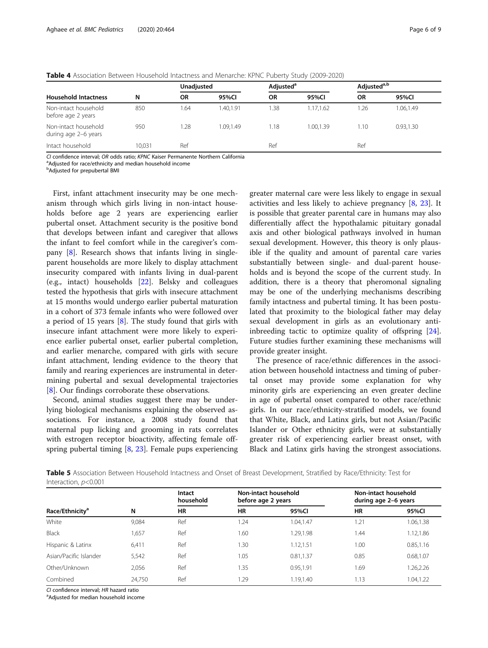|                                              |        | Unadjusted |           | Adjusted <sup>a</sup> |           | Adjusted <sup>a,b</sup> |            |
|----------------------------------------------|--------|------------|-----------|-----------------------|-----------|-------------------------|------------|
| <b>Household Intactness</b>                  | N      | <b>OR</b>  | 95%Cl     | ΟR                    | 95%Cl     | <b>OR</b>               | 95%CI      |
| Non-intact household<br>before age 2 years   | 850    | .64        | 1.40.1.91 | 1.38                  | 1.17.1.62 | .26                     | .06, 1.49  |
| Non-intact household<br>during age 2-6 years | 950    | .28        | 1.09,1.49 | 1.18                  | 1.00,1.39 | 1.10                    | 0.93, 1.30 |
| Intact household                             | 10.031 | Ref        |           | Ref                   |           | Ref                     |            |

<span id="page-5-0"></span>Table 4 Association Between Household Intactness and Menarche: KPNC Puberty Study (2009-2020)

CI confidence interval; OR odds ratio; KPNC Kaiser Permanente Northern California <sup>a</sup>

<sup>a</sup>Adiusted for race/ethnicity and median household income

**b**Adjusted for prepubertal BMI

First, infant attachment insecurity may be one mechanism through which girls living in non-intact households before age 2 years are experiencing earlier pubertal onset. Attachment security is the positive bond that develops between infant and caregiver that allows the infant to feel comfort while in the caregiver's company [\[8](#page-7-0)]. Research shows that infants living in singleparent households are more likely to display attachment insecurity compared with infants living in dual-parent (e.g., intact) households [[22\]](#page-7-0). Belsky and colleagues tested the hypothesis that girls with insecure attachment at 15 months would undergo earlier pubertal maturation in a cohort of 373 female infants who were followed over a period of 15 years  $[8]$  $[8]$ . The study found that girls with insecure infant attachment were more likely to experience earlier pubertal onset, earlier pubertal completion, and earlier menarche, compared with girls with secure infant attachment, lending evidence to the theory that family and rearing experiences are instrumental in determining pubertal and sexual developmental trajectories [[8\]](#page-7-0). Our findings corroborate these observations.

Second, animal studies suggest there may be underlying biological mechanisms explaining the observed associations. For instance, a 2008 study found that maternal pup licking and grooming in rats correlates with estrogen receptor bioactivity, affecting female offspring pubertal timing [\[8](#page-7-0), [23](#page-8-0)]. Female pups experiencing

greater maternal care were less likely to engage in sexual activities and less likely to achieve pregnancy [\[8](#page-7-0), [23\]](#page-8-0). It is possible that greater parental care in humans may also differentially affect the hypothalamic pituitary gonadal axis and other biological pathways involved in human sexual development. However, this theory is only plausible if the quality and amount of parental care varies substantially between single- and dual-parent households and is beyond the scope of the current study. In addition, there is a theory that pheromonal signaling may be one of the underlying mechanisms describing family intactness and pubertal timing. It has been postulated that proximity to the biological father may delay sexual development in girls as an evolutionary antiinbreeding tactic to optimize quality of offspring [\[24](#page-8-0)]. Future studies further examining these mechanisms will provide greater insight.

The presence of race/ethnic differences in the association between household intactness and timing of pubertal onset may provide some explanation for why minority girls are experiencing an even greater decline in age of pubertal onset compared to other race/ethnic girls. In our race/ethnicity-stratified models, we found that White, Black, and Latinx girls, but not Asian/Pacific Islander or Other ethnicity girls, were at substantially greater risk of experiencing earlier breast onset, with Black and Latinx girls having the strongest associations.

Table 5 Association Between Household Intactness and Onset of Breast Development, Stratified by Race/Ethnicity: Test for Interaction, p<0.001

| Race/Ethnicity <sup>a</sup> |        | Intact<br>household | Non-intact household<br>before age 2 years |           | Non-intact household<br>during age 2-6 years |            |  |
|-----------------------------|--------|---------------------|--------------------------------------------|-----------|----------------------------------------------|------------|--|
|                             | N      | <b>HR</b>           | <b>HR</b>                                  | 95%Cl     | HR                                           | 95%CI      |  |
| White                       | 9,084  | Ref                 | 1.24                                       | .04, 1.47 | 1.21                                         | 1.06,1.38  |  |
| Black                       | ,657   | Ref                 | 1.60                                       | .29,1.98  | l.44                                         | 1.12,1.86  |  |
| Hispanic & Latinx           | 6,411  | Ref                 | 1.30                                       | 1.12,1.51 | 1.00                                         | 0.85, 1.16 |  |
| Asian/Pacific Islander      | 5,542  | Ref                 | 1.05                                       | 0.81,1.37 | 0.85                                         | 0.68,1.07  |  |
| Other/Unknown               | 2.056  | Ref                 | 1.35                                       | 0.95,1.91 | .69                                          | 1.26,2.26  |  |
| Combined                    | 24.750 | Ref                 | 1.29                                       | 1.19,1.40 | l.13                                         | 1.04,1.22  |  |

CI confidence interval; HR hazard ratio

Adjusted for median household income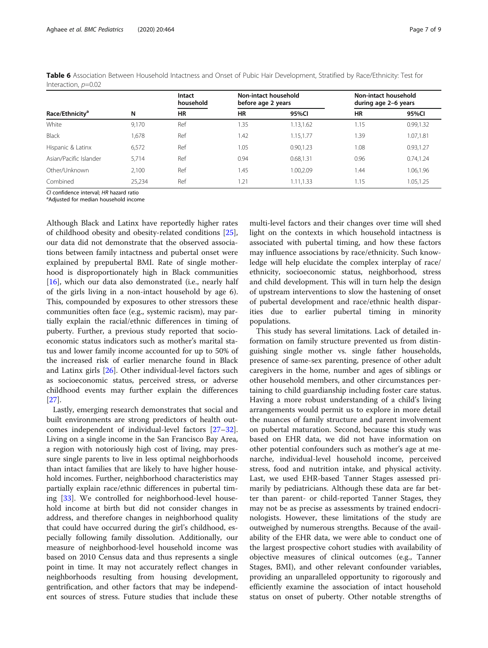| Interaction, $p=0.02$       |        |                     |                    |                      |                                              |            |  |  |  |  |
|-----------------------------|--------|---------------------|--------------------|----------------------|----------------------------------------------|------------|--|--|--|--|
|                             |        | Intact<br>household | before age 2 years | Non-intact household | Non-intact household<br>during age 2-6 years |            |  |  |  |  |
| Race/Ethnicity <sup>a</sup> | N      | <b>HR</b>           | ΗR                 | 95%Cl                | HR                                           | 95%CI      |  |  |  |  |
| White                       | 9,170  | Ref                 | .35                | 1.13,1.62            | i.15                                         | 0.99,1.32  |  |  |  |  |
| Black                       | 1,678  | Ref                 | 1.42               | 1.15,1.77            | .39                                          | 1.07,1.81  |  |  |  |  |
| Hispanic & Latinx           | 6,572  | Ref                 | 1.05               | 0.90, 1.23           | 0.08                                         | 0.93,1.27  |  |  |  |  |
| Asian/Pacific Islander      | 5,714  | Ref                 | 0.94               | 0.68,1.31            | 0.96                                         | 0.74, 1.24 |  |  |  |  |
| Other/Unknown               | 2.100  | Ref                 | 1.45               | 1.00,2.09            | .44                                          | 1.06,1.96  |  |  |  |  |
| Combined                    | 25.234 | Ref                 | 1.21               | 1.11,1.33            | 1.15                                         | 1.05,1.25  |  |  |  |  |

<span id="page-6-0"></span>Table 6 Association Between Household Intactness and Onset of Pubic Hair Development, Stratified by Race/Ethnicity: Test for Interaction, p=0.02

CI confidence interval: HR hazard ratio <sup>a</sup>Adjusted for median household income

Although Black and Latinx have reportedly higher rates of childhood obesity and obesity-related conditions [\[25](#page-8-0)], our data did not demonstrate that the observed associations between family intactness and pubertal onset were explained by prepubertal BMI. Rate of single motherhood is disproportionately high in Black communities [[16\]](#page-7-0), which our data also demonstrated (i.e., nearly half of the girls living in a non-intact household by age 6). This, compounded by exposures to other stressors these communities often face (e.g., systemic racism), may partially explain the racial/ethnic differences in timing of puberty. Further, a previous study reported that socioeconomic status indicators such as mother's marital status and lower family income accounted for up to 50% of the increased risk of earlier menarche found in Black and Latinx girls [[26](#page-8-0)]. Other individual-level factors such as socioeconomic status, perceived stress, or adverse childhood events may further explain the differences [[27\]](#page-8-0).

Lastly, emerging research demonstrates that social and built environments are strong predictors of health outcomes independent of individual-level factors [[27](#page-8-0)–[32](#page-8-0)]. Living on a single income in the San Francisco Bay Area, a region with notoriously high cost of living, may pressure single parents to live in less optimal neighborhoods than intact families that are likely to have higher household incomes. Further, neighborhood characteristics may partially explain race/ethnic differences in pubertal timing [\[33](#page-8-0)]. We controlled for neighborhood-level household income at birth but did not consider changes in address, and therefore changes in neighborhood quality that could have occurred during the girl's childhood, especially following family dissolution. Additionally, our measure of neighborhood-level household income was based on 2010 Census data and thus represents a single point in time. It may not accurately reflect changes in neighborhoods resulting from housing development, gentrification, and other factors that may be independent sources of stress. Future studies that include these multi-level factors and their changes over time will shed light on the contexts in which household intactness is associated with pubertal timing, and how these factors may influence associations by race/ethnicity. Such knowledge will help elucidate the complex interplay of race/ ethnicity, socioeconomic status, neighborhood, stress and child development. This will in turn help the design of upstream interventions to slow the hastening of onset of pubertal development and race/ethnic health disparities due to earlier pubertal timing in minority populations.

This study has several limitations. Lack of detailed information on family structure prevented us from distinguishing single mother vs. single father households, presence of same-sex parenting, presence of other adult caregivers in the home, number and ages of siblings or other household members, and other circumstances pertaining to child guardianship including foster care status. Having a more robust understanding of a child's living arrangements would permit us to explore in more detail the nuances of family structure and parent involvement on pubertal maturation. Second, because this study was based on EHR data, we did not have information on other potential confounders such as mother's age at menarche, individual-level household income, perceived stress, food and nutrition intake, and physical activity. Last, we used EHR-based Tanner Stages assessed primarily by pediatricians. Although these data are far better than parent- or child-reported Tanner Stages, they may not be as precise as assessments by trained endocrinologists. However, these limitations of the study are outweighed by numerous strengths. Because of the availability of the EHR data, we were able to conduct one of the largest prospective cohort studies with availability of objective measures of clinical outcomes (e.g., Tanner Stages, BMI), and other relevant confounder variables, providing an unparalleled opportunity to rigorously and efficiently examine the association of intact household status on onset of puberty. Other notable strengths of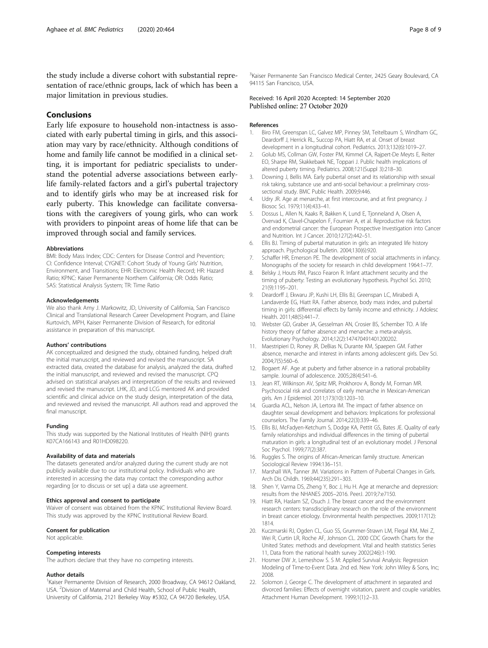<span id="page-7-0"></span>the study include a diverse cohort with substantial representation of race/ethnic groups, lack of which has been a major limitation in previous studies.

## Conclusions

Early life exposure to household non-intactness is associated with early pubertal timing in girls, and this association may vary by race/ethnicity. Although conditions of home and family life cannot be modified in a clinical setting, it is important for pediatric specialists to understand the potential adverse associations between earlylife family-related factors and a girl's pubertal trajectory and to identify girls who may be at increased risk for early puberty. This knowledge can facilitate conversations with the caregivers of young girls, who can work with providers to pinpoint areas of home life that can be improved through social and family services.

#### Abbreviations

BMI: Body Mass Index; CDC: Centers for Disease Control and Prevention; CI: Confidence Interval; CYGNET: Cohort Study of Young Girls' Nutrition, Environment, and Transitions; EHR: Electronic Health Record; HR: Hazard Ratio; KPNC: Kaiser Permanente Northern California; OR: Odds Ratio; SAS: Statistical Analysis System; TR: Time Ratio

#### Acknowledgements

We also thank Amy J. Markowitz, JD, University of California, San Francisco Clinical and Translational Research Career Development Program, and Elaine Kurtovich, MPH, Kaiser Permanente Division of Research, for editorial assistance in preparation of this manuscript.

#### Authors' contributions

AK conceptualized and designed the study, obtained funding, helped draft the initial manuscript, and reviewed and revised the manuscript. SA extracted data, created the database for analysis, analyzed the data, drafted the initial manuscript, and reviewed and revised the manuscript. CPQ advised on statistical analyses and interpretation of the results and reviewed and revised the manuscript. LHK, JD, and LCG mentored AK and provided scientific and clinical advice on the study design, interpretation of the data, and reviewed and revised the manuscript. All authors read and approved the final manuscript.

#### Funding

This study was supported by the National Institutes of Health (NIH) grants K07CA166143 and R01HD098220.

#### Availability of data and materials

The datasets generated and/or analyzed during the current study are not publicly available due to our institutional policy. Individuals who are interested in accessing the data may contact the corresponding author regarding [or to discuss or set up] a data use agreement.

#### Ethics approval and consent to participate

Waiver of consent was obtained from the KPNC Institutional Review Board. This study was approved by the KPNC Institutional Review Board.

#### Consent for publication

Not applicable.

#### Competing interests

The authors declare that they have no competing interests.

#### Author details

<sup>1</sup> Kaiser Permanente Division of Research, 2000 Broadway, CA 94612 Oakland, USA. <sup>2</sup> Division of Maternal and Child Health, School of Public Health, University of California, 2121 Berkeley Way #5302, CA 94720 Berkeley, USA.

<sup>3</sup>Kaiser Permanente San Francisco Medical Center, 2425 Geary Boulevard, CA 94115 San Francisco, USA.

## Received: 16 April 2020 Accepted: 14 September 2020 Published online: 27 October 2020

#### References

- 1. Biro FM, Greenspan LC, Galvez MP, Pinney SM, Teitelbaum S, Windham GC, Deardorff J, Herrick RL, Succop PA, Hiatt RA, et al. Onset of breast development in a longitudinal cohort. Pediatrics. 2013;132(6):1019–27.
- 2. Golub MS, Collman GW, Foster PM, Kimmel CA, Rajpert-De Meyts E, Reiter EO, Sharpe RM, Skakkebaek NE, Toppari J. Public health implications of altered puberty timing. Pediatrics. 2008;121(Suppl 3):218–30.
- Downing J, Bellis MA. Early pubertal onset and its relationship with sexual risk taking, substance use and anti-social behaviour: a preliminary crosssectional study. BMC Public Health. 2009;9:446.
- 4. Udry JR. Age at menarche, at first intercourse, and at first pregnancy. J Biosoc Sci. 1979;11(4):433–41.
- 5. Dossus L, Allen N, Kaaks R, Bakken K, Lund E, Tjonneland A, Olsen A, Overvad K, Clavel-Chapelon F, Fournier A, et al. Reproductive risk factors and endometrial cancer: the European Prospective Investigation into Cancer and Nutrition. Int J Cancer. 2010;127(2):442–51.
- 6. Ellis BJ. Timing of pubertal maturation in girls: an integrated life history approach. Psychological bulletin. 2004;130(6):920.
- 7. Schaffer HR, Emerson PE. The development of social attachments in infancy. Monographs of the society for research in child development 1964:1–77.
- 8. Belsky J, Houts RM, Pasco Fearon R. Infant attachment security and the timing of puberty: Testing an evolutionary hypothesis. Psychol Sci. 2010; 21(9):1195–201.
- 9. Deardorff J, Ekwaru JP, Kushi LH, Ellis BJ, Greenspan LC, Mirabedi A, Landaverde EG, Hiatt RA. Father absence, body mass index, and pubertal timing in girls: differential effects by family income and ethnicity. J Adolesc Health. 2011;48(5):441–7.
- 10. Webster GD, Graber JA, Gesselman AN, Crosier BS, Schember TO. A life history theory of father absence and menarche: a meta-analysis. Evolutionary Psychology. 2014;12(2):147470491401200202.
- 11. Maestripieri D, Roney JR, DeBias N, Durante KM, Spaepen GM. Father absence, menarche and interest in infants among adolescent girls. Dev Sci. 2004;7(5):560–6.
- 12. Bogaert AF. Age at puberty and father absence in a national probability sample. Journal of adolescence. 2005;28(4):541-6.
- 13. Jean RT, Wilkinson AV, Spitz MR, Prokhorov A, Bondy M, Forman MR. Psychosocial risk and correlates of early menarche in Mexican-American girls. Am J Epidemiol. 2011;173(10):1203–10.
- 14. Guardia ACL, Nelson JA, Lertora IM. The impact of father absence on daughter sexual development and behaviors: Implications for professional counselors. The Family Journal. 2014;22(3):339–46.
- 15. Ellis BJ, McFadyen-Ketchum S, Dodge KA, Pettit GS, Bates JE. Quality of early family relationships and individual differences in the timing of pubertal maturation in girls: a longitudinal test of an evolutionary model. J Personal Soc Psychol. 1999;77(2):387.
- 16. Ruggles S. The origins of African-American family structure. American Sociological Review 1994:136–151.
- 17. Marshall WA, Tanner JM. Variations in Pattern of Pubertal Changes in Girls. Arch Dis Childh. 1969;44(235):291–303.
- 18. Shen Y, Varma DS, Zheng Y, Boc J, Hu H. Age at menarche and depression: results from the NHANES 2005–2016. PeerJ. 2019;7:e7150.
- 19. Hiatt RA, Haslam SZ, Osuch J. The breast cancer and the environment research centers: transdisciplinary research on the role of the environment in breast cancer etiology. Environmental health perspectives. 2009;117(12): 1814.
- 20. Kuczmarski RJ, Ogden CL, Guo SS, Grummer-Strawn LM, Flegal KM, Mei Z, Wei R, Curtin LR, Roche AF, Johnson CL. 2000 CDC Growth Charts for the United States: methods and development. Vital and health statistics Series 11, Data from the national health survey 2002(246):1-190.
- 21. Hosmer DW Jr, Lemeshow S. S M: Applied Survival Analysis: Regression Modeling of Time-to-Event Data. 2nd ed. New York: John Wiley & Sons, Inc; 2008.
- 22. Solomon J, George C. The development of attachment in separated and divorced families: Effects of overnight visitation, parent and couple variables. Attachment Human Development. 1999;1(1):2–33.